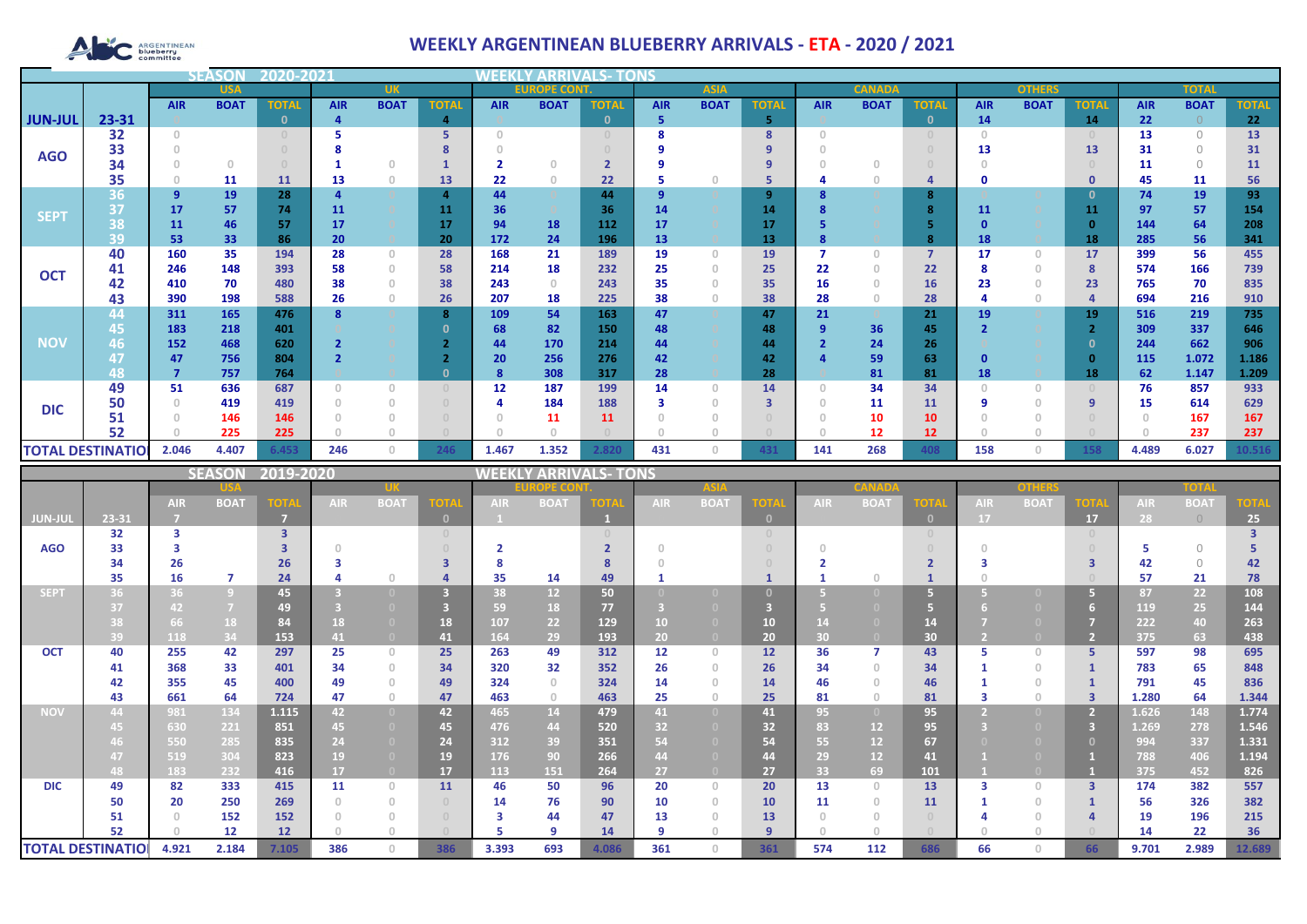# **ARGENTINEAN**

## **WEEKLY ARGENTINEAN BLUEBERRY ARRIVALS - ETA - 2020 / 2021**

|                | <b>USA</b>               |            | <b>UK</b>     |              |            |                                       | <b>EUROPE CONT.</b>              |            |             | <b>ASIA</b>             |            |             | <b>CANADA</b> |            |             | <b>OTHERS</b>  |              | <b>TOTAI</b>                     |                 |            |             |                 |
|----------------|--------------------------|------------|---------------|--------------|------------|---------------------------------------|----------------------------------|------------|-------------|-------------------------|------------|-------------|---------------|------------|-------------|----------------|--------------|----------------------------------|-----------------|------------|-------------|-----------------|
|                |                          | <b>AIR</b> | <b>BOAT</b>   | <b>TOTAL</b> | <b>AIR</b> | <b>BOAT</b>                           | <b>TOTAL</b>                     | <b>AIR</b> | <b>BOAT</b> | <b>TOTAL</b>            | <b>AIR</b> | <b>BOAT</b> | <b>TOTAL</b>  | <b>AIR</b> | <b>BOAT</b> | <b>TOTAL</b>   | <b>AIR</b>   | <b>BOAT</b>                      | <b>TOTAL</b>    | <b>AIR</b> | <b>BOAT</b> | <b>TOTAL</b>    |
| <b>JUN-JUL</b> | 23-31                    |            |               |              | 4          |                                       | 4                                |            |             | $\mathbf{0}$            | 5          |             | 5             |            |             | $\mathbf{0}$   | 14           |                                  | 14              | 22         |             | 22              |
|                | 32                       | $\Omega$   |               |              |            |                                       | 5                                | $\cap$     |             |                         | 8          |             | 8             | $\Omega$   |             | $\Omega$       | $\cap$       |                                  |                 | 13         | $\Omega$    | 13 <sup>2</sup> |
| <b>AGO</b>     | 33                       |            |               |              |            |                                       |                                  |            |             |                         |            |             | q             |            |             |                | 13           |                                  | 13              | 31         | $\Omega$    | 31              |
|                | 34                       |            | $\Box$        |              |            | $\Box$                                |                                  |            | $\Omega$    |                         |            |             |               |            |             |                |              |                                  |                 | 11         | $\bigcap$   | 11              |
|                | 35                       |            | 11            | 11           | 13         | $\circ$                               | 13                               | 22         | $\theta$    | 22                      |            | $\Box$      | 5             |            |             | 4              |              |                                  | 0               | 45         | 11          | 56              |
|                | 36                       | 9          | 19            | 28           |            |                                       | 4                                | 44         |             | 44                      | 9          |             | 9             |            |             | 8              |              |                                  | 0               | 74         | 19          | 93              |
| <b>SEPT</b>    | 37                       | 17         | 57            | 74           | 11         |                                       | 11                               | 36         |             | 36                      | 14         |             | 14            |            |             | 8              | 11           |                                  | 11              | 97         | 57          | 154             |
|                | 38                       | 11         | 46            | -57          | 17         |                                       | 17                               | 94         | 18          | 112                     | 17         |             | 17            |            |             | 5              |              |                                  | $\Omega$        | 144        | 64          | 208             |
|                | 39                       | 53         | 33            | 86           | 20         |                                       | 20                               | 172        | 24          | 196                     | 13         |             | 13            |            |             | 8              | 18           |                                  | 18              | 285        | 56          | 341             |
| <b>OCT</b>     | 40                       | 160        | 35            | 194          | 28         | $\Omega$                              | 28                               | 168        | 21          | 189                     | 19         | $\Omega$    | 19            |            | O           | $\overline{7}$ | 17           | $\begin{array}{c} 0 \end{array}$ | 17 <sup>2</sup> | 399        | 56          | 455             |
|                | 41                       | 246        | 148           | 393          | 58         | $\Omega$                              | 58                               | 214        | 18          | 232                     | 25         | $\Box$      | 25            | 22         | 0           | 22             |              | $\Omega$                         | $\mathbf{8}$    | 574        | 166         | 739             |
|                | 42                       | 410        | 70            | 480          | 38         | $\circ$                               | 38                               | 243        | $\circ$     | 243                     | 35         | $\Box$      | 35            | 16         | 0           | 16             | 23           | $\circ$                          | 23              | 765        | 70          | 835             |
|                | 43                       | 390        | 198           | 588          | 26         | $\Omega$                              | 26                               | 207        | 18          | 225                     | 38         |             | 38            | 28         |             | 28             |              | $\mathbf{0}$                     |                 | 694        | 216         | 910             |
|                | 44                       | 311        | 165           | 476          |            |                                       | 8                                | 109        | 54          | 163                     | 47         |             | 47            | 21         |             | 21             | 19           |                                  | 19              | 516        | 219         | 735             |
|                | 45                       | 183        | 218           | 401          |            |                                       |                                  | 68         | 82          | 150                     | 48         |             | 48            |            | 36          | 45             |              |                                  |                 | 309        | 337         | 646             |
| <b>NOV</b>     | 46                       | 152        | 468           | 620          |            |                                       |                                  | 44         | 170         | 214                     | 44         |             | 44            |            | 24          | 26             |              |                                  | ึ               | 244        | 662         | 906             |
|                | 47                       | 47         | 756           | 804          |            |                                       |                                  | 20         | 256         | 276                     | 42         |             | 42            |            | 59          | 63             | $\mathbf{0}$ |                                  | $\Omega$        | 115        | 1.072       | 1.186           |
|                | 48                       |            | 757           | 764          |            |                                       |                                  | 8          | 308         | 317                     | 28         |             | 28            |            | 81          | 81             | 18           |                                  | 18              | 62         | 1.147       | 1.209           |
|                | 49                       | 51         | 636           | 687          |            | $\bigcap$                             | $\begin{array}{c} 0 \end{array}$ | 12         | 187         | 199                     | 14         | $\Box$      | 14            |            | 34          | 34             |              | $\Omega$                         |                 | 76         | 857         | 933             |
| <b>DIC</b>     | 50                       |            | 419           | 419          |            | $\Omega$                              | $\begin{array}{c} 0 \end{array}$ | 4          | 184         | 188                     | 3          | $\cap$      | з             |            | 11          | 11             | q            | $\Omega$                         | -9              | 15         | 614         | 629             |
|                | 51                       |            | 146           | 146          |            | $\begin{array}{c} 0 \\ 0 \end{array}$ | $\cup$                           | $\Omega$   | 11          | 11                      |            |             |               |            | 10          | 10             |              | $\cup$                           |                 |            | 167         | 167             |
|                | 52                       |            | 225           | 225          |            | $\cap$                                |                                  |            |             |                         | $\cap$     |             |               |            | 12          | 12             |              |                                  |                 |            | 237         | 237             |
|                | <b>TOTAL DESTINATIOI</b> | 2.046      | 4.407         | 6.453        | 246        | $\circ$                               | 246                              | 1.467      | 1.352       | 2.820                   | 431        | $\Omega$    | 431           | 141        | 268         | 408            | 158          | $\Omega$                         | 158             | 4.489      | 6.027       | 10.516          |
|                |                          |            | <b>SEASON</b> | 2019-2020    |            |                                       |                                  | WEEKI      |             | <b>/ ARRIVALS- TONS</b> |            |             |               |            |             |                |              |                                  |                 |            |             |                 |

|                          |       |            |                | SEASUN ZUIS-ZUZU        |                 | VEENLT AKKIVALS- IUINS                |                                  |            |               |       |            |              |          |            |             |                |            |             |                         |            |             |             |
|--------------------------|-------|------------|----------------|-------------------------|-----------------|---------------------------------------|----------------------------------|------------|---------------|-------|------------|--------------|----------|------------|-------------|----------------|------------|-------------|-------------------------|------------|-------------|-------------|
|                          |       |            |                |                         |                 |                                       |                                  |            | <b>PE COI</b> |       |            |              |          |            |             |                |            |             |                         |            |             |             |
|                          |       | <b>AIR</b> | <b>BOAT</b>    | <b>TOTA</b>             | <b>AIR</b>      | <b>BOAT</b>                           | OT.                              | <b>AIR</b> | <b>BOAT</b>   | OTA   | <b>AIR</b> | <b>BOAT</b>  | тот.     | <b>AIR</b> | <b>BOAT</b> | <b>TOTA</b>    | <b>AIR</b> | <b>BOAT</b> | <b>OTA</b>              | <b>AIR</b> | <b>BOAT</b> | <b>TOTA</b> |
| JUN-JUL                  | 23-31 |            |                | 7                       |                 |                                       | $\mathbf{0}$                     |            |               |       |            |              | $\Omega$ |            |             | $\overline{0}$ | 17         |             | 17                      | 28         | $\bigcirc$  | 25          |
|                          | 32    | 3          |                | $\overline{\mathbf{3}}$ |                 |                                       | $\begin{array}{c} 0 \end{array}$ |            |               |       |            |              |          |            |             |                |            |             |                         |            |             |             |
| <b>AGO</b>               | 33    |            |                |                         |                 |                                       |                                  |            |               |       |            |              |          |            |             |                | $\Omega$   |             |                         |            | $\Omega$    |             |
|                          | 34    | 26         |                | 26                      |                 |                                       |                                  | 8          |               |       |            |              |          |            |             |                |            |             |                         |            | $\Omega$    | 42          |
|                          | 35    | 16         | 7              | 24                      |                 | $\Box$                                |                                  | 35         | 14            | 49    |            |              |          |            |             |                |            |             |                         | 57         | 21          | 78          |
| <b>SEPT</b>              | 36    |            | $\overline{9}$ | 45                      |                 |                                       | 3                                | 38         | 12            | 50    |            |              |          |            |             |                |            |             | Æγ                      | 87         | 22          | 108         |
|                          | 37    |            |                | 49                      |                 |                                       |                                  | 59         | 18            | 77    |            |              |          |            |             | 67             |            |             |                         | 119        | 25          | 144         |
|                          | 38    | 66         | 18             | 84                      | 18              |                                       | 18                               | 107        | 22            | 129   | 10         |              | 10       |            |             | 14             |            |             |                         | 222        | 40          | 263         |
|                          | 39    | 118        | 34             | 153                     | 41              |                                       | 41                               | 164        | 29            | 193   | 20         | (0)          | 20       | 30         |             | 30             |            |             |                         | 375        | 63          | 438         |
| <b>OCT</b>               | 40    | 255        | 42             | 297                     | 25              | $\circ$                               | 25                               | 263        | 49            | 312   | 12         | $\cup$       | 12       | 36         | 7           | 43             |            | $\Omega$    | 5.                      | 597        | 98          | 695         |
|                          | 41    | 368        | 33             | 401                     | 34              | $\mathbf{0}$                          | 34                               | 320        | 32            | 352   | 26         | $\Omega$     | 26       | 34         | $\cap$      | 34             |            |             |                         | 783        | 65          | 848         |
|                          | 42    | 355        | 45             | 400                     | 49              | $\begin{array}{c} 0 \\ 0 \end{array}$ | 49                               | 324        | $\circ$       | 324   | 14         | $\Box$       | 14       | 46         | 0           | 46             |            |             |                         | 791        | 45          | 836         |
|                          | 43    | 661        | 64             | 724                     | 47              | $\mathbf{0}$                          | 47                               | 463        | $\circ$       | 463   | 25         |              | 25       | 81         |             | 81             |            |             | 3                       | 1.280      | 64          | 1.344       |
| <b>NOV</b>               | 44    | 981        | 134            | 1.115                   | 42 <sup>°</sup> | $\Omega$                              | 42                               | 465        | 14            | 479   | 41         | $\Box$       | 41       | 95         |             | 95             |            |             |                         | 1.626      | 148         | 1.774       |
|                          | 45.   | 630        | 221            | 851                     | 15.             |                                       | 45                               | 476        | 44            | 520   | 32         |              | 32       | 83         | 12          | 95             |            |             |                         | 1.269      | 278         | 1.546       |
|                          |       | 550        | 285            | 835                     | 24              |                                       | 24                               | 312        | 39            | 351   | 54         |              | 54       | 55         | 12          | 67             |            |             |                         | 994        | 337         | 1.331       |
|                          | A7    | 519        | 304            | 823                     | 19              |                                       | 19                               | 176        | 90            | 266   | 44         |              | 44       | 29         | 12          | 41             |            |             |                         | 788        | 406         | 1.194       |
|                          | 48    | 183        | 232            | 416                     | 17              | $\Box$                                | 17                               | 113        | 151           | 264   | 27         | $\Box$       | 27       | 33         | 69          | 101            |            |             |                         | 375        | 452         | 826         |
| <b>DIC</b>               | 49    | 82         | 333            | 415                     | 11              | $\overline{0}$                        | 11                               | 46         | 50            | 96    | 20         | $\mathbf{0}$ | 20       | 13         | $\Omega$    | 13             |            | $\Omega$    | $\overline{\mathbf{3}}$ | 174        | 382         | 557         |
|                          | 50    | 20         | 250            | 269                     |                 | $\Omega$                              |                                  | 14         | 76            | 90    | 10         | $\Omega$     | 10       | 11         | $\cap$      | 11             |            |             |                         | 56         | 326         | 382         |
|                          | 51    |            | 152            | 152                     |                 | $\Omega$                              |                                  | 3          | 44            | 47    | 13         |              | 13       |            |             |                |            |             |                         | 19         | 196         | 215         |
|                          | 52    |            | 12             | 12                      |                 | $\bigcap$                             |                                  |            | 9             | 14    | -9         |              | -9       |            |             |                |            |             |                         | 14         | 22          | 36          |
| <b>TOTAL DESTINATIOI</b> |       | 4.921      | 2.184          | 7.105                   | 386             | $\Omega$                              | 386                              | 3.393      | 693           | 4.086 | 361        | $\cap$       | 361      | 574        | 112         | 686            | 66         | $\Omega$    | 66                      | 9.701      | 2.989       | 12.689      |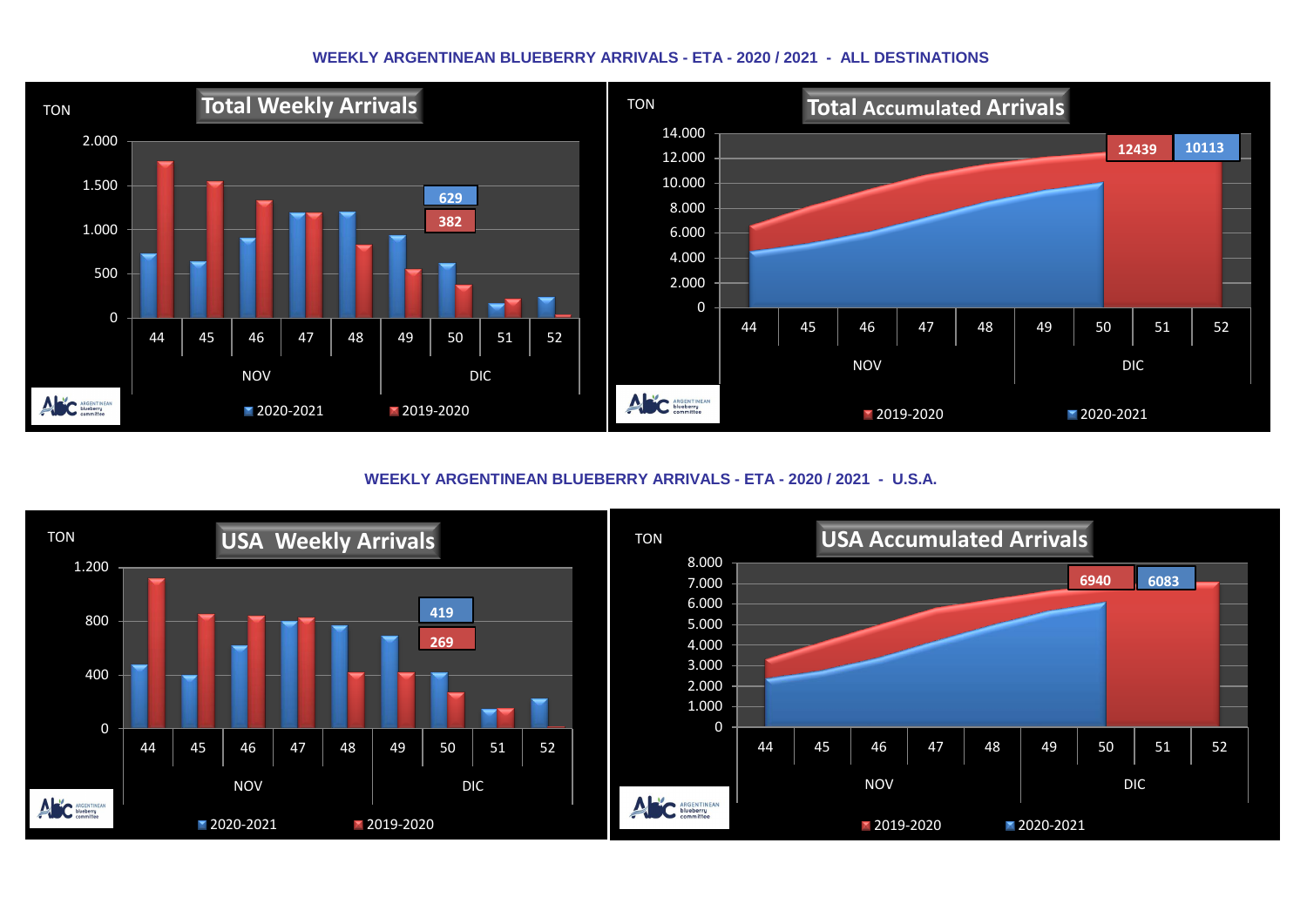#### **WEEKLY ARGENTINEAN BLUEBERRY ARRIVALS - ETA - 2020 / 2021 - ALL DESTINATIONS**



**WEEKLY ARGENTINEAN BLUEBERRY ARRIVALS - ETA - 2020 / 2021 - U.S.A.**

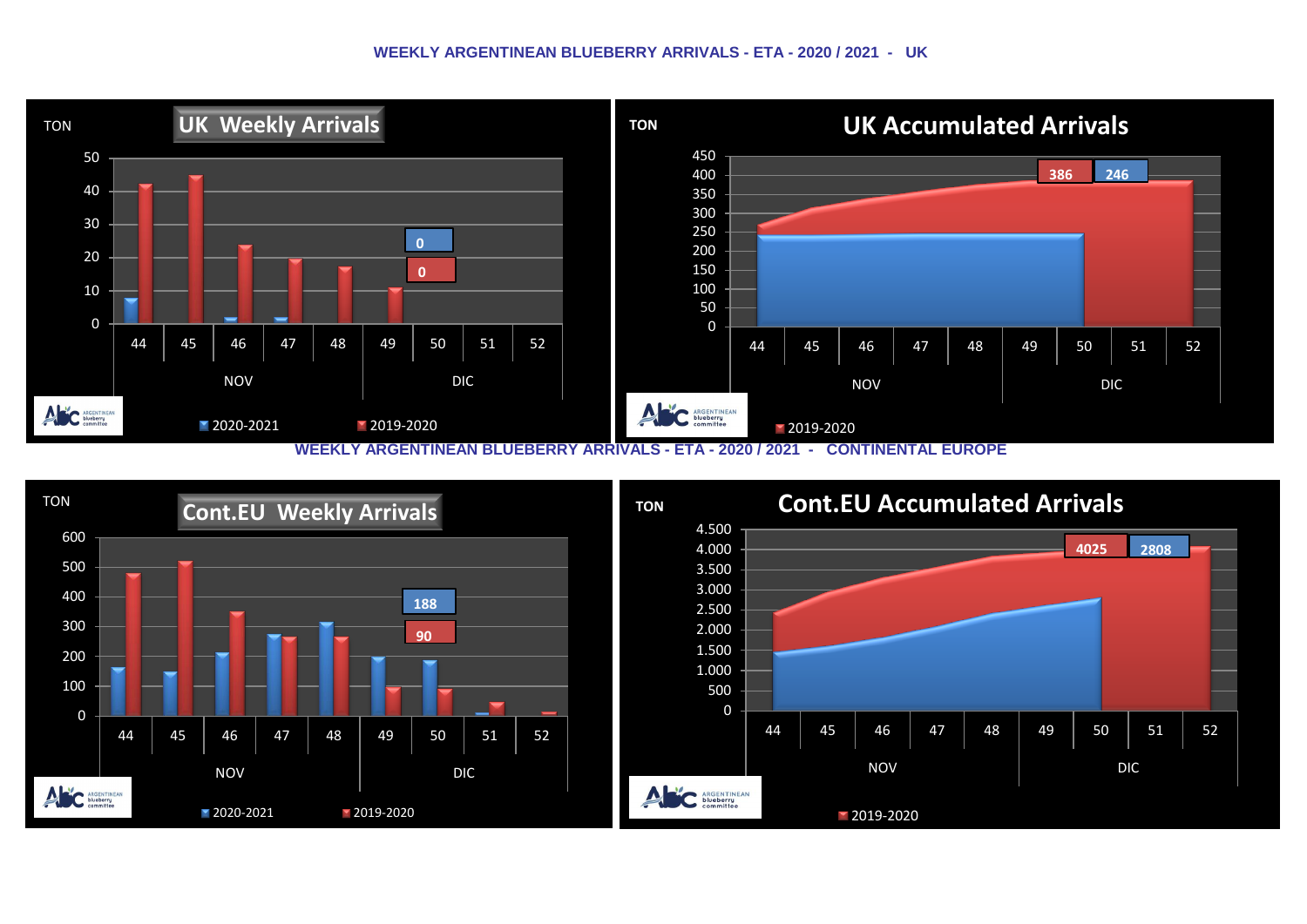#### **WEEKLY ARGENTINEAN BLUEBERRY ARRIVALS - ETA - 2020 / 2021 - UK**



 TON **Cont.EU Weekly Arrivals**  1.000 1.500 2.000 2.500 3.000 3.500 4.000 4.500 **TON Cont.EU Accumulated Arrivals 2808**



ANC SIDE COMMITTEE